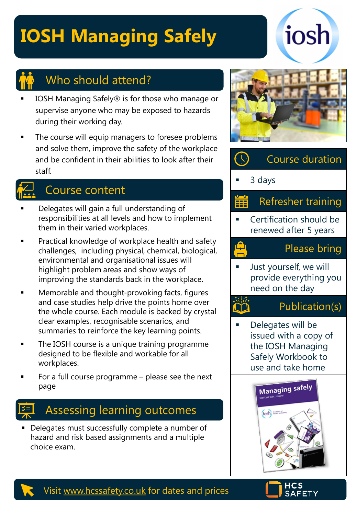# **IOSH Managing Safely**





### Who should attend?

- IOSH Managing Safely® is for those who manage or supervise anyone who may be exposed to hazards during their working day.
- The course will equip managers to foresee problems and solve them, improve the safety of the workplace and be confident in their abilities to look after their staff.

## Course content

- Delegates will gain a full understanding of responsibilities at all levels and how to implement them in their varied workplaces.
- Practical knowledge of workplace health and safety challenges, including physical, chemical, biological, environmental and organisational issues will highlight problem areas and show ways of improving the standards back in the workplace.
- Memorable and thought-provoking facts, figures and case studies help drive the points home over the whole course. Each module is backed by crystal clear examples, recognisable scenarios, and summaries to reinforce the key learning points.
- The IOSH course is a unique training programme designed to be flexible and workable for all workplaces.
- For a full course programme  $-$  please see the next page

## Assessing learning outcomes

■ Delegates must successfully complete a number of hazard and risk based assignments and a multiple choice exam.





Just yourself, we will provide everything you need on the day

### Publication(s)

Delegates will be issued with a copy of the IOSH Managing Safely Workbook to use and take home





Visit [www.hcssafety.co.uk](http://www.hcssafety.co.uk/) for dates and prices